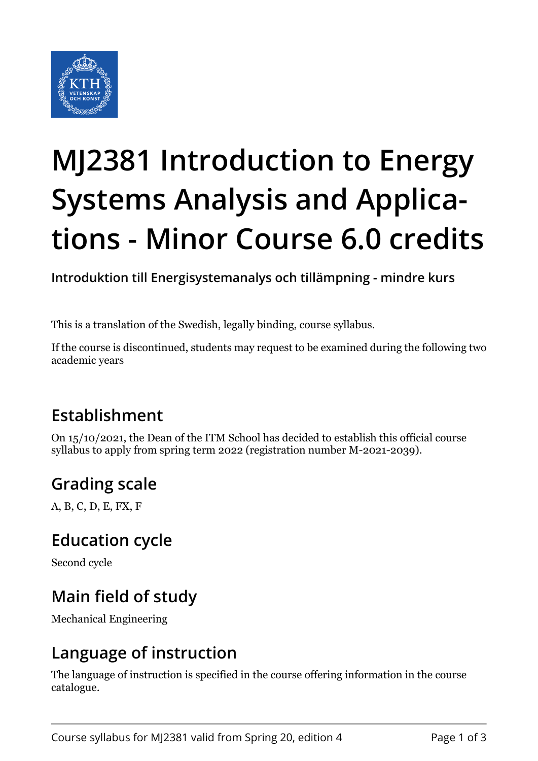

# **MJ2381 Introduction to Energy Systems Analysis and Applications - Minor Course 6.0 credits**

**Introduktion till Energisystemanalys och tillämpning - mindre kurs**

This is a translation of the Swedish, legally binding, course syllabus.

If the course is discontinued, students may request to be examined during the following two academic years

# **Establishment**

On 15/10/2021, the Dean of the ITM School has decided to establish this official course syllabus to apply from spring term 2022 (registration number M-2021-2039).

# **Grading scale**

A, B, C, D, E, FX, F

## **Education cycle**

Second cycle

# **Main field of study**

Mechanical Engineering

## **Language of instruction**

The language of instruction is specified in the course offering information in the course catalogue.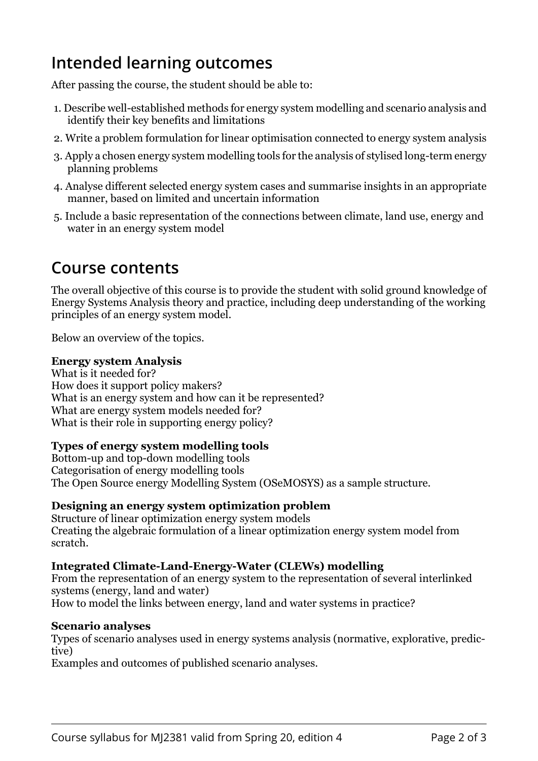## **Intended learning outcomes**

After passing the course, the student should be able to:

- 1. Describe well-established methods for energy system modelling and scenario analysis and identify their key benefits and limitations
- 2. Write a problem formulation for linear optimisation connected to energy system analysis
- 3. Apply a chosen energy system modelling tools for the analysis of stylised long-term energy planning problems
- 4. Analyse different selected energy system cases and summarise insights in an appropriate manner, based on limited and uncertain information
- 5. Include a basic representation of the connections between climate, land use, energy and water in an energy system model

## **Course contents**

The overall objective of this course is to provide the student with solid ground knowledge of Energy Systems Analysis theory and practice, including deep understanding of the working principles of an energy system model.

Below an overview of the topics.

#### **Energy system Analysis**

What is it needed for? How does it support policy makers? What is an energy system and how can it be represented? What are energy system models needed for? What is their role in supporting energy policy?

#### **i** Types of energy system modelling tools

Bottom-up and top-down modelling tools Categorisation of energy modelling tools The Open Source energy Modelling System (OSeMOSYS) as a sample structure.

#### **Designing an energy system optimization problem**

Structure of linear optimization energy system models Creating the algebraic formulation of a linear optimization energy system model from scratch.

#### **Integrated Climate-Land-Energy-Water (CLEWs) modelling**

From the representation of an energy system to the representation of several interlinked systems (energy, land and water) How to model the links between energy, land and water systems in practice?

#### **Scenario analyses**

Types of scenario analyses used in energy systems analysis (normative, explorative, predictive)

Examples and outcomes of published scenario analyses.